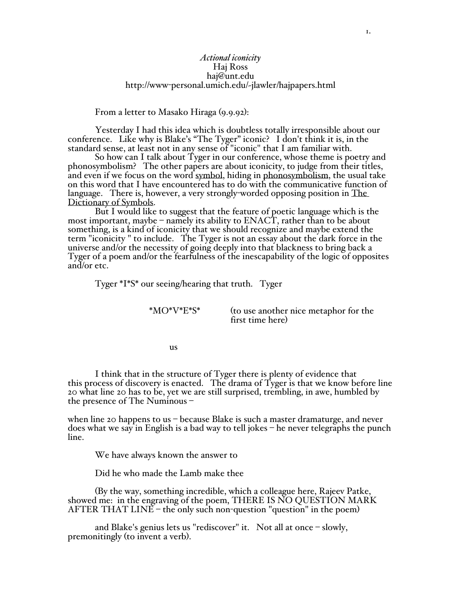## *Actional iconicity* Haj Ross haj@unt.edu http://www-personal.umich.edu/~jlawler/hajpapers.html

## From a letter to Masako Hiraga (9.9.92):

Yesterday I had this idea which is doubtless totally irresponsible about our conference. Like why is Blake's "The Tyger" iconic? I don't think it is, in the standard sense, at least not in any sense of "iconic" that I am familiar with.

So how can I talk about Tyger in our conference, whose theme is poetry and phonosymbolism? The other papers are about iconicity, to judge from their titles, and even if we focus on the word symbol, hiding in phonosymbolism, the usual take on this word that I have encountered has to do with the communicative function of language. There is, however, a very strongly-worded opposing position in The<br>Dictionary of Symbols.

But I would like to suggest that the feature of poetic language which is the most important, maybe – namely its ability to ENACT, rather than to be about something, is a kind of iconicity that we should recognize and maybe extend the term "iconicity " to include. The Tyger is not an essay about the dark force in the universe and/or the necessity of going deeply into that blackness to bring back a Tyger of a poem and/or the fearfulness of the inescapability of the logic of opposites and/or etc.

Tyger \*I\*S\* our seeing/hearing that truth. Tyger

 \*MO\*V\*E\*S\* (to use another nice metaphor for the first time here)

us and the state of the state of the state of the state of the state of the state of the state of the state of the state of the state of the state of the state of the state of the state of the state of the state of the sta

 I think that in the structure of Tyger there is plenty of evidence that this process of discovery is enacted. The drama of Tyger is that we know before line 20 what line 20 has to be, yet we are still surprised, trembling, in awe, humbled by the presence of The Numinous –

when line 20 happens to us – because Blake is such a master dramaturge, and never does what we say in English is a bad way to tell jokes – he never telegraphs the punch line.

We have always known the answer to

Did he who made the Lamb make thee

 (By the way, something incredible, which a colleague here, Rajeev Patke, showed me: in the engraving of the poem, THERE IS NO QUESTION MARK AFTER THAT LINE – the only such non-question "question" in the poem)

 and Blake's genius lets us "rediscover" it. Not all at once – slowly, premonitingly (to invent a verb).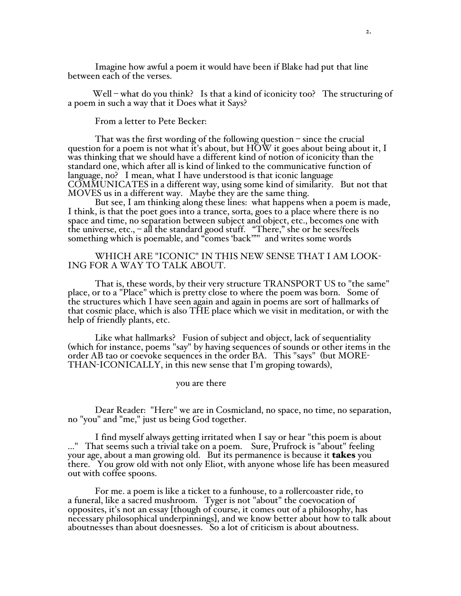Imagine how awful a poem it would have been if Blake had put that line between each of the verses.

 Well – what do you think? Is that a kind of iconicity too? The structuring of a poem in such a way that it Does what it Says?

From a letter to Pete Becker:

That was the first wording of the following question – since the crucial question for a poem is not what it's about, but  $H\tilde{O}\tilde{W}$  it goes about being about it, I was thinking that we should have a different kind of notion of iconicity than the standard one, which after all is kind of linked to the communicative function of language, no? I mean, what I have understood is that iconic language COMMUNICATES in a different way, using some kind of similarity. But not that MOVES us in a different way. Maybe they are the same thing.

 But see, I am thinking along these lines: what happens when a poem is made, I think, is that the poet goes into a trance, sorta, goes to a place where there is no space and time, no separation between subject and object, etc., becomes one with the universe, etc., – all the standard good stuff. "There," she or he sees/feels something which is poemable, and "comes 'back'"" and writes some words

## WHICH ARE "ICONIC" IN THIS NEW SENSE THAT I AM LOOK-ING FOR A WAY TO TALK ABOUT.

 That is, these words, by their very structure TRANSPORT US to "the same" place, or to a "Place" which is pretty close to where the poem was born. Some of the structures which I have seen again and again in poems are sort of hallmarks of that cosmic place, which is also THE place which we visit in meditation, or with the help of friendly plants, etc.

 Like what hallmarks? Fusion of subject and object, lack of sequentiality (which for instance, poems "say" by having sequences of sounds or other items in the order AB tao or coevoke sequences in the order BA. This "says" (but MORE-THAN-ICONICALLY, in this new sense that I'm groping towards),

you are there

Dear Reader: "Here" we are in Cosmicland, no space, no time, no separation, no "you" and "me," just us being God together.

 I find myself always getting irritated when I say or hear "this poem is about ..." That seems such a trivial take on a poem. Sure, Prufrock is "about" feeling your age, about a man growing old. But its permanence is because it **takes** you there. You grow old with not only Eliot, with anyone whose life has been measured out with coffee spoons.

 For me. a poem is like a ticket to a funhouse, to a rollercoaster ride, to a funeral, like a sacred mushroom. Tyger is not "about" the coevocation of opposites, it's not an essay [though of course, it comes out of a philosophy, has necessary philosophical underpinnings], and we know better about how to talk about aboutnesses than about doesnesses. So a lot of criticism is about aboutness.